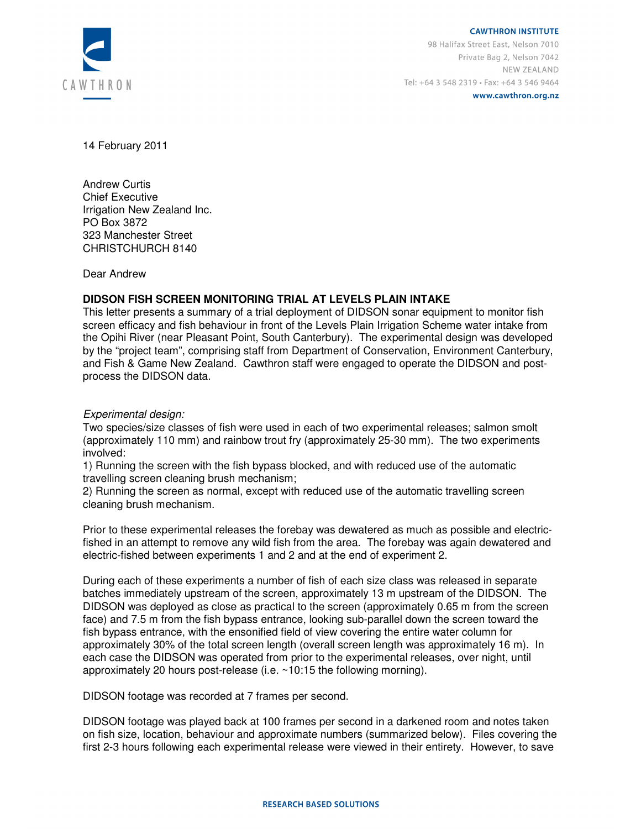

www.cawthron.org.nz

14 February 2011

Andrew Curtis Chief Executive Irrigation New Zealand Inc. PO Box 3872 323 Manchester Street CHRISTCHURCH 8140

Dear Andrew

### **DIDSON FISH SCREEN MONITORING TRIAL AT LEVELS PLAIN INTAKE**

This letter presents a summary of a trial deployment of DIDSON sonar equipment to monitor fish screen efficacy and fish behaviour in front of the Levels Plain Irrigation Scheme water intake from the Opihi River (near Pleasant Point, South Canterbury). The experimental design was developed by the "project team", comprising staff from Department of Conservation, Environment Canterbury, and Fish & Game New Zealand. Cawthron staff were engaged to operate the DIDSON and postprocess the DIDSON data.

Experimental design:

Two species/size classes of fish were used in each of two experimental releases; salmon smolt (approximately 110 mm) and rainbow trout fry (approximately 25-30 mm). The two experiments involved:

1) Running the screen with the fish bypass blocked, and with reduced use of the automatic travelling screen cleaning brush mechanism;

2) Running the screen as normal, except with reduced use of the automatic travelling screen cleaning brush mechanism.

Prior to these experimental releases the forebay was dewatered as much as possible and electricfished in an attempt to remove any wild fish from the area. The forebay was again dewatered and electric-fished between experiments 1 and 2 and at the end of experiment 2.

During each of these experiments a number of fish of each size class was released in separate batches immediately upstream of the screen, approximately 13 m upstream of the DIDSON. The DIDSON was deployed as close as practical to the screen (approximately 0.65 m from the screen face) and 7.5 m from the fish bypass entrance, looking sub-parallel down the screen toward the fish bypass entrance, with the ensonified field of view covering the entire water column for approximately 30% of the total screen length (overall screen length was approximately 16 m). In each case the DIDSON was operated from prior to the experimental releases, over night, until approximately 20 hours post-release (i.e. ~10:15 the following morning).

DIDSON footage was recorded at 7 frames per second.

DIDSON footage was played back at 100 frames per second in a darkened room and notes taken on fish size, location, behaviour and approximate numbers (summarized below). Files covering the first 2-3 hours following each experimental release were viewed in their entirety. However, to save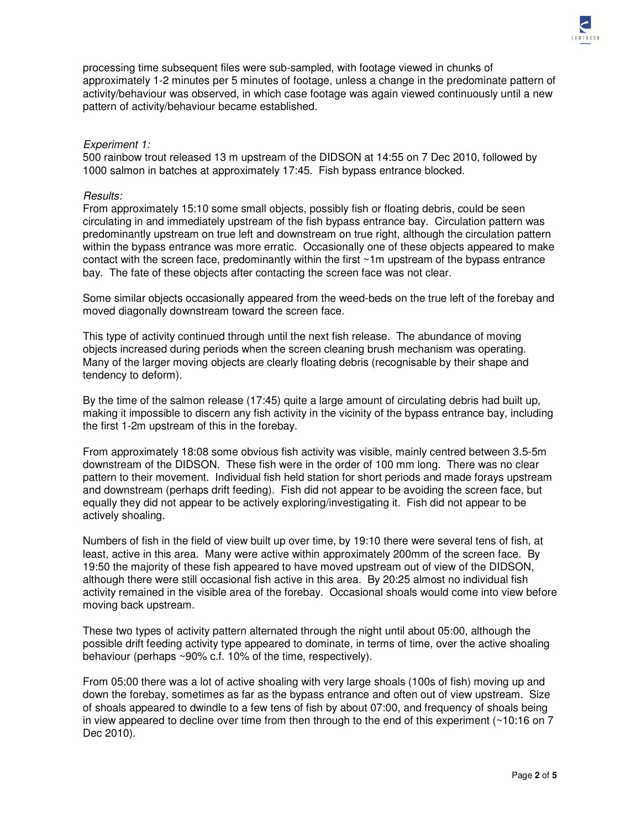

processing time subsequent files were sub-sampled, with footage viewed in chunks of approximately 1-2 minutes per 5 minutes of footage, unless a change in the predominate pattern of activity/behaviour was observed, in which case footage was again viewed continuously until a new pattern of activity/behaviour became established.

#### Experiment 1:

500 rainbow trout released 13 m upstream of the DIDSON at 14:55 on 7 Dec 2010, followed by 1000 salmon in batches at approximately 17:45. Fish bypass entrance blocked.

#### Results:

From approximately 15:10 some small objects, possibly fish or floating debris, could be seen circulating in and immediately upstream of the fish bypass entrance bay. Circulation pattern was predominantly upstream on true left and downstream on true right, although the circulation pattern within the bypass entrance was more erratic. Occasionally one of these objects appeared to make contact with the screen face, predominantly within the first  $\sim$ 1m upstream of the bypass entrance bay. The fate of these objects after contacting the screen face was not clear.

Some similar objects occasionally appeared from the weed-beds on the true left of the forebay and moved diagonally downstream toward the screen face.

This type of activity continued through until the next fish release. The abundance of moving objects increased during periods when the screen cleaning brush mechanism was operating. Many of the larger moving objects are clearly floating debris (recognisable by their shape and tendency to deform).

By the time of the salmon release (17:45) quite a large amount of circulating debris had built up, making it impossible to discern any fish activity in the vicinity of the bypass entrance bay, including the first 1-2m upstream of this in the forebay.

From approximately 18:08 some obvious fish activity was visible, mainly centred between 3.5-5m downstream of the DIDSON. These fish were in the order of 100 mm long. There was no clear pattern to their movement. Individual fish held station for short periods and made forays upstream and downstream (perhaps drift feeding). Fish did not appear to be avoiding the screen face, but equally they did not appear to be actively exploring/investigating it. Fish did not appear to be actively shoaling.

Numbers of fish in the field of view built up over time, by 19:10 there were several tens of fish, at least, active in this area. Many were active within approximately 200mm of the screen face. By 19:50 the majority of these fish appeared to have moved upstream out of view of the DIDSON, although there were still occasional fish active in this area. By 20:25 almost no individual fish activity remained in the visible area of the forebay. Occasional shoals would come into view before moving back upstream.

These two types of activity pattern alternated through the night until about 05:00, although the possible drift feeding activity type appeared to dominate, in terms of time, over the active shoaling behaviour (perhaps ~90% c.f. 10% of the time, respectively).

From 05:00 there was a lot of active shoaling with very large shoals (100s of fish) moving up and down the forebay, sometimes as far as the bypass entrance and often out of view upstream. Size of shoals appeared to dwindle to a few tens of fish by about 07:00, and frequency of shoals being in view appeared to decline over time from then through to the end of this experiment  $($  ~10:16 on 7 Dec 2010).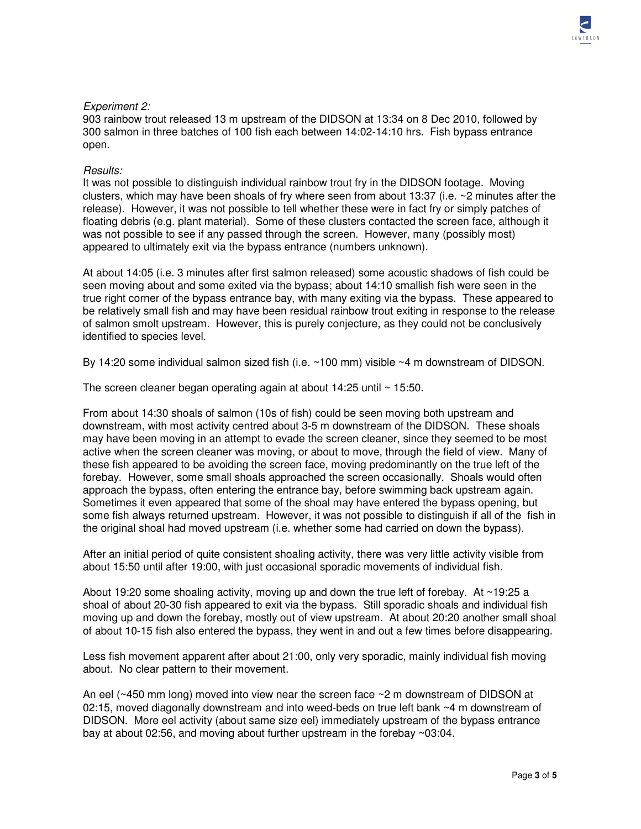# Experiment 2:

903 rainbow trout released 13 m upstream of the DIDSON at 13:34 on 8 Dec 2010, followed by 300 salmon in three batches of 100 fish each between 14:02-14:10 hrs. Fish bypass entrance open.

## Results:

It was not possible to distinguish individual rainbow trout fry in the DIDSON footage. Moving clusters, which may have been shoals of fry where seen from about 13:37 (i.e. ~2 minutes after the release). However, it was not possible to tell whether these were in fact fry or simply patches of floating debris (e.g. plant material). Some of these clusters contacted the screen face, although it was not possible to see if any passed through the screen. However, many (possibly most) appeared to ultimately exit via the bypass entrance (numbers unknown).

At about 14:05 (i.e. 3 minutes after first salmon released) some acoustic shadows of fish could be seen moving about and some exited via the bypass; about 14:10 smallish fish were seen in the true right corner of the bypass entrance bay, with many exiting via the bypass. These appeared to be relatively small fish and may have been residual rainbow trout exiting in response to the release of salmon smolt upstream. However, this is purely conjecture, as they could not be conclusively identified to species level.

By 14:20 some individual salmon sized fish (i.e. ~100 mm) visible ~4 m downstream of DIDSON.

The screen cleaner began operating again at about 14:25 until ~ 15:50.

From about 14:30 shoals of salmon (10s of fish) could be seen moving both upstream and downstream, with most activity centred about 3-5 m downstream of the DIDSON. These shoals may have been moving in an attempt to evade the screen cleaner, since they seemed to be most active when the screen cleaner was moving, or about to move, through the field of view. Many of these fish appeared to be avoiding the screen face, moving predominantly on the true left of the forebay. However, some small shoals approached the screen occasionally. Shoals would often approach the bypass, often entering the entrance bay, before swimming back upstream again. Sometimes it even appeared that some of the shoal may have entered the bypass opening, but some fish always returned upstream. However, it was not possible to distinguish if all of the fish in the original shoal had moved upstream (i.e. whether some had carried on down the bypass).

After an initial period of quite consistent shoaling activity, there was very little activity visible from about 15:50 until after 19:00, with just occasional sporadic movements of individual fish.

About 19:20 some shoaling activity, moving up and down the true left of forebay. At ~19:25 a shoal of about 20-30 fish appeared to exit via the bypass. Still sporadic shoals and individual fish moving up and down the forebay, mostly out of view upstream. At about 20:20 another small shoal of about 10-15 fish also entered the bypass, they went in and out a few times before disappearing.

Less fish movement apparent after about 21:00, only very sporadic, mainly individual fish moving about. No clear pattern to their movement.

An eel (~450 mm long) moved into view near the screen face ~2 m downstream of DIDSON at 02:15, moved diagonally downstream and into weed-beds on true left bank ~4 m downstream of DIDSON. More eel activity (about same size eel) immediately upstream of the bypass entrance bay at about 02:56, and moving about further upstream in the forebay ~03:04.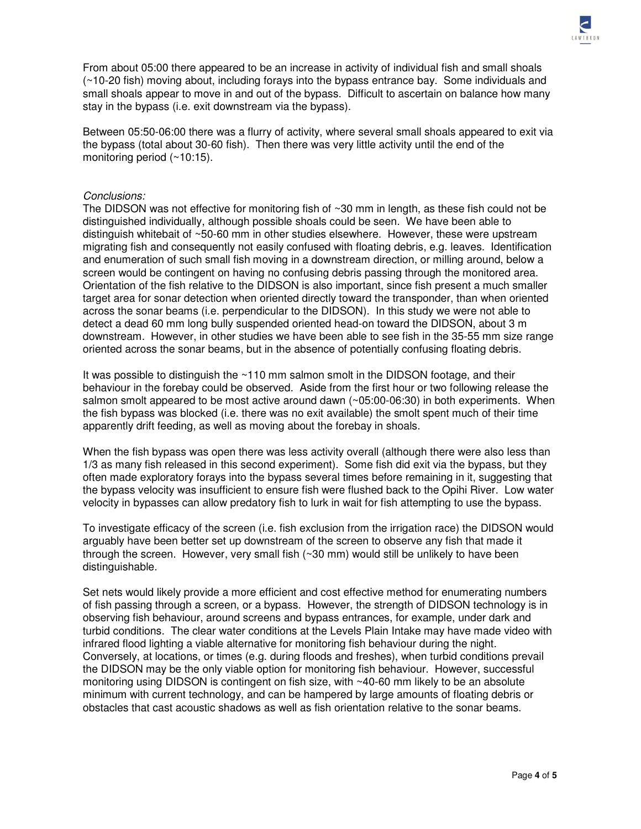

From about 05:00 there appeared to be an increase in activity of individual fish and small shoals (~10-20 fish) moving about, including forays into the bypass entrance bay. Some individuals and small shoals appear to move in and out of the bypass. Difficult to ascertain on balance how many stay in the bypass (i.e. exit downstream via the bypass).

Between 05:50-06:00 there was a flurry of activity, where several small shoals appeared to exit via the bypass (total about 30-60 fish). Then there was very little activity until the end of the monitoring period (~10:15).

### Conclusions:

The DIDSON was not effective for monitoring fish of ~30 mm in length, as these fish could not be distinguished individually, although possible shoals could be seen. We have been able to distinguish whitebait of ~50-60 mm in other studies elsewhere. However, these were upstream migrating fish and consequently not easily confused with floating debris, e.g. leaves. Identification and enumeration of such small fish moving in a downstream direction, or milling around, below a screen would be contingent on having no confusing debris passing through the monitored area. Orientation of the fish relative to the DIDSON is also important, since fish present a much smaller target area for sonar detection when oriented directly toward the transponder, than when oriented across the sonar beams (i.e. perpendicular to the DIDSON). In this study we were not able to detect a dead 60 mm long bully suspended oriented head-on toward the DIDSON, about 3 m downstream. However, in other studies we have been able to see fish in the 35-55 mm size range oriented across the sonar beams, but in the absence of potentially confusing floating debris.

It was possible to distinguish the ~110 mm salmon smolt in the DIDSON footage, and their behaviour in the forebay could be observed. Aside from the first hour or two following release the salmon smolt appeared to be most active around dawn (~05:00-06:30) in both experiments. When the fish bypass was blocked (i.e. there was no exit available) the smolt spent much of their time apparently drift feeding, as well as moving about the forebay in shoals.

When the fish bypass was open there was less activity overall (although there were also less than 1/3 as many fish released in this second experiment). Some fish did exit via the bypass, but they often made exploratory forays into the bypass several times before remaining in it, suggesting that the bypass velocity was insufficient to ensure fish were flushed back to the Opihi River. Low water velocity in bypasses can allow predatory fish to lurk in wait for fish attempting to use the bypass.

To investigate efficacy of the screen (i.e. fish exclusion from the irrigation race) the DIDSON would arguably have been better set up downstream of the screen to observe any fish that made it through the screen. However, very small fish (~30 mm) would still be unlikely to have been distinguishable.

Set nets would likely provide a more efficient and cost effective method for enumerating numbers of fish passing through a screen, or a bypass. However, the strength of DIDSON technology is in observing fish behaviour, around screens and bypass entrances, for example, under dark and turbid conditions. The clear water conditions at the Levels Plain Intake may have made video with infrared flood lighting a viable alternative for monitoring fish behaviour during the night. Conversely, at locations, or times (e.g. during floods and freshes), when turbid conditions prevail the DIDSON may be the only viable option for monitoring fish behaviour. However, successful monitoring using DIDSON is contingent on fish size, with ~40-60 mm likely to be an absolute minimum with current technology, and can be hampered by large amounts of floating debris or obstacles that cast acoustic shadows as well as fish orientation relative to the sonar beams.